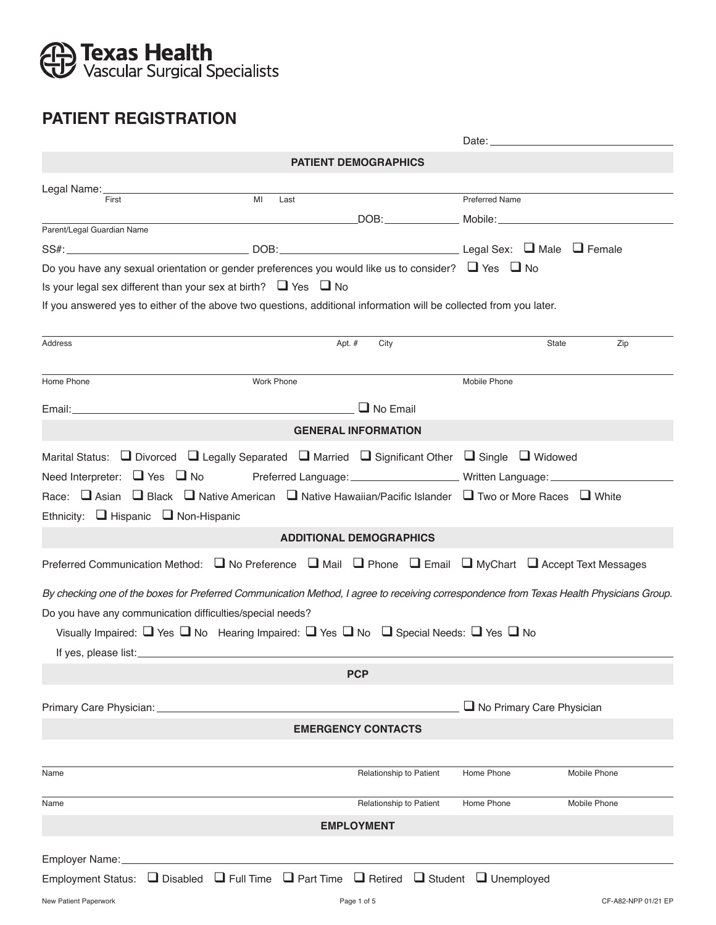# **B Texas Health**<br>Vascular Surgical Specialists

## **PATIENT REGISTRATION**

|                                                                                                                                          |            |                                | Date: <u>_________________________</u>                                           |                     |
|------------------------------------------------------------------------------------------------------------------------------------------|------------|--------------------------------|----------------------------------------------------------------------------------|---------------------|
|                                                                                                                                          |            | <b>PATIENT DEMOGRAPHICS</b>    |                                                                                  |                     |
| Legal Name: ________                                                                                                                     |            |                                |                                                                                  |                     |
| First                                                                                                                                    | MI<br>Last |                                | <b>Preferred Name</b>                                                            |                     |
| Parent/Legal Guardian Name                                                                                                               |            |                                |                                                                                  |                     |
|                                                                                                                                          |            |                                |                                                                                  |                     |
| Do you have any sexual orientation or gender preferences you would like us to consider? $\Box$ Yes $\Box$ No                             |            |                                |                                                                                  |                     |
| Is your legal sex different than your sex at birth? $\Box$ Yes $\Box$ No                                                                 |            |                                |                                                                                  |                     |
| If you answered yes to either of the above two questions, additional information will be collected from you later.                       |            |                                |                                                                                  |                     |
|                                                                                                                                          |            |                                |                                                                                  |                     |
| Address                                                                                                                                  | Apt. #     | City                           | State                                                                            | Zip                 |
| Home Phone                                                                                                                               | Work Phone |                                | Mobile Phone                                                                     |                     |
|                                                                                                                                          |            | $\Box$ No Email                |                                                                                  |                     |
|                                                                                                                                          |            | <b>GENERAL INFORMATION</b>     |                                                                                  |                     |
| Marital Status: $\Box$ Divorced $\Box$ Legally Separated $\Box$ Married $\Box$ Significant Other $\Box$ Single $\Box$ Widowed            |            |                                |                                                                                  |                     |
| Need Interpreter: $\Box$ Yes $\Box$ No                                                                                                   |            |                                | Preferred Language: __________________________ Written Language: _______________ |                     |
| Race: $\Box$ Asian $\Box$ Black $\Box$ Native American $\Box$ Native Hawaiian/Pacific Islander $\Box$ Two or More Races $\Box$ White     |            |                                |                                                                                  |                     |
| Ethnicity: $\Box$ Hispanic $\Box$ Non-Hispanic                                                                                           |            |                                |                                                                                  |                     |
|                                                                                                                                          |            | <b>ADDITIONAL DEMOGRAPHICS</b> |                                                                                  |                     |
| Preferred Communication Method: ■ No Preference ■ Mail ■ Phone ■ Email ■ MyChart ■ Accept Text Messages                                  |            |                                |                                                                                  |                     |
| By checking one of the boxes for Preferred Communication Method, I agree to receiving correspondence from Texas Health Physicians Group. |            |                                |                                                                                  |                     |
| Do you have any communication difficulties/special needs?                                                                                |            |                                |                                                                                  |                     |
| Visually Impaired: $\Box$ Yes $\Box$ No Hearing Impaired: $\Box$ Yes $\Box$ No $\Box$ Special Needs: $\Box$ Yes $\Box$ No                |            |                                |                                                                                  |                     |
|                                                                                                                                          |            |                                |                                                                                  |                     |
|                                                                                                                                          |            | <b>PCP</b>                     |                                                                                  |                     |
| Primary Care Physician:                                                                                                                  |            |                                | $\Box$ No Primary Care Physician                                                 |                     |
|                                                                                                                                          |            | <b>EMERGENCY CONTACTS</b>      |                                                                                  |                     |
|                                                                                                                                          |            |                                |                                                                                  |                     |
| Name                                                                                                                                     |            | Relationship to Patient        | Home Phone                                                                       | Mobile Phone        |
| Name                                                                                                                                     |            | <b>Relationship to Patient</b> | Home Phone                                                                       | Mobile Phone        |
|                                                                                                                                          |            | <b>EMPLOYMENT</b>              |                                                                                  |                     |
| Employer Name:                                                                                                                           |            |                                |                                                                                  |                     |
| Employment Status: $\Box$ Disabled $\Box$ Full Time $\Box$ Part Time $\Box$ Retired $\Box$ Student $\Box$ Unemployed                     |            |                                |                                                                                  |                     |
| New Patient Paperwork                                                                                                                    |            | Page 1 of 5                    |                                                                                  | CF-A82-NPP 01/21 EP |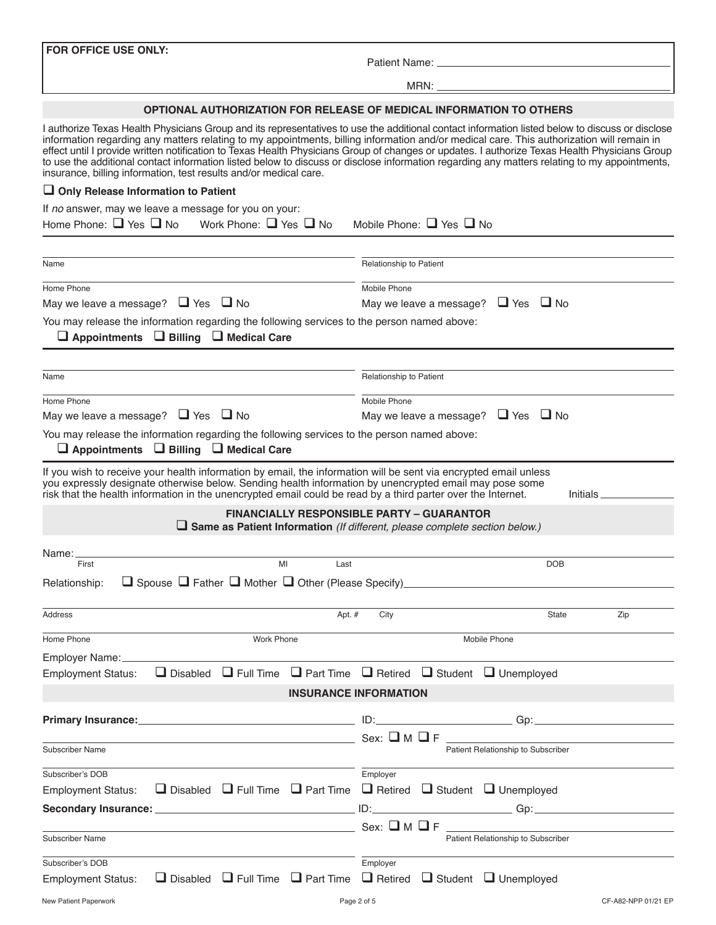**FOR OFFICE USE ONLY:**

Patient Name:

MRN:

#### **OPTIONAL AUTHORIZATION FOR RELEASE OF MEDICAL INFORMATION TO OTHERS**

I authorize Texas Health Physicians Group and its representatives to use the additional contact information listed below to discuss or disclose information regarding any matters relating to my appointments, billing information and/or medical care. This authorization will remain in effect until I provide written notification to Texas Health Physicians Group of changes or updates. I authorize Texas Health Physicians Group to use the additional contact information listed below to discuss or disclose information regarding any matters relating to my appointments, insurance, billing information, test results and/or medical care.

#### **Only Release Information to Patient**

| If no answer, may we leave a message for you on your:<br>Home Phone: $\Box$ Yes $\Box$ No<br>Work Phone: $\Box$ Yes $\Box$ No                                                                                                                                                                                                              | Mobile Phone: $\Box$ Yes $\Box$ No                                                                                                    |     |  |  |
|--------------------------------------------------------------------------------------------------------------------------------------------------------------------------------------------------------------------------------------------------------------------------------------------------------------------------------------------|---------------------------------------------------------------------------------------------------------------------------------------|-----|--|--|
|                                                                                                                                                                                                                                                                                                                                            |                                                                                                                                       |     |  |  |
| Name                                                                                                                                                                                                                                                                                                                                       | Relationship to Patient                                                                                                               |     |  |  |
| Home Phone                                                                                                                                                                                                                                                                                                                                 | Mobile Phone                                                                                                                          |     |  |  |
| May we leave a message? $\Box$ Yes<br>$\Box$ No                                                                                                                                                                                                                                                                                            | May we leave a message? $\Box$ Yes $\Box$ No                                                                                          |     |  |  |
| You may release the information regarding the following services to the person named above:<br>$\Box$ Appointments $\Box$ Billing $\Box$ Medical Care                                                                                                                                                                                      |                                                                                                                                       |     |  |  |
| Name                                                                                                                                                                                                                                                                                                                                       | Relationship to Patient                                                                                                               |     |  |  |
| Home Phone                                                                                                                                                                                                                                                                                                                                 | Mobile Phone                                                                                                                          |     |  |  |
| May we leave a message? $\Box$ Yes $\Box$ No                                                                                                                                                                                                                                                                                               | May we leave a message? $\Box$ Yes $\Box$ No                                                                                          |     |  |  |
| You may release the information regarding the following services to the person named above:<br>$\Box$ Appointments $\Box$ Billing $\Box$ Medical Care                                                                                                                                                                                      |                                                                                                                                       |     |  |  |
| If you wish to receive your health information by email, the information will be sent via encrypted email unless<br>you expressly designate otherwise below. Sending health information by unencrypted email may pose some<br>risk that the health information in the unencrypted email could be read by a third parter over the Internet. | Initials                                                                                                                              |     |  |  |
|                                                                                                                                                                                                                                                                                                                                            | <b>FINANCIALLY RESPONSIBLE PARTY - GUARANTOR</b><br>$\Box$ Same as Patient Information (If different, please complete section below.) |     |  |  |
| Name:                                                                                                                                                                                                                                                                                                                                      |                                                                                                                                       |     |  |  |
| MI<br>First                                                                                                                                                                                                                                                                                                                                | Last<br><b>DOB</b>                                                                                                                    |     |  |  |
| $\Box$ Spouse $\Box$ Father $\Box$ Mother $\Box$ Other (Please Specify)<br>Relationship:                                                                                                                                                                                                                                                   |                                                                                                                                       |     |  |  |
| Address                                                                                                                                                                                                                                                                                                                                    | Apt. #<br>City<br>State                                                                                                               | Zip |  |  |
| Home Phone<br><b>Work Phone</b>                                                                                                                                                                                                                                                                                                            | Mobile Phone                                                                                                                          |     |  |  |
| Employer Name:                                                                                                                                                                                                                                                                                                                             |                                                                                                                                       |     |  |  |
| $\Box$ Full Time<br>$\Box$ Disabled<br><b>Employment Status:</b>                                                                                                                                                                                                                                                                           | $\Box$ Part Time<br>$\Box$ Retired $\Box$ Student $\Box$ Unemployed                                                                   |     |  |  |
|                                                                                                                                                                                                                                                                                                                                            | <b>INSURANCE INFORMATION</b>                                                                                                          |     |  |  |
|                                                                                                                                                                                                                                                                                                                                            |                                                                                                                                       |     |  |  |
| <b>Primary Insurance:</b>                                                                                                                                                                                                                                                                                                                  | Gp:<br>ID:                                                                                                                            |     |  |  |
| <b>Subscriber Name</b>                                                                                                                                                                                                                                                                                                                     | $Sex: \square M \square F$<br>Patient Relationship to Subscriber                                                                      |     |  |  |
| Subscriber's DOB                                                                                                                                                                                                                                                                                                                           | Employer                                                                                                                              |     |  |  |
| <b>Employment Status:</b>                                                                                                                                                                                                                                                                                                                  | $\Box$ Disabled $\Box$ Full Time $\Box$ Part Time $\Box$ Retired $\Box$ Student $\Box$ Unemployed                                     |     |  |  |
| <u> 1989 - Johann Barbara, martxa alemaniar a</u><br>Secondary Insurance:                                                                                                                                                                                                                                                                  |                                                                                                                                       |     |  |  |
|                                                                                                                                                                                                                                                                                                                                            | $Sex: \square M \square F$                                                                                                            |     |  |  |
| <b>Subscriber Name</b>                                                                                                                                                                                                                                                                                                                     | Patient Relationship to Subscriber                                                                                                    |     |  |  |
| Subscriber's DOB                                                                                                                                                                                                                                                                                                                           | Employer                                                                                                                              |     |  |  |
| $\Box$ Disabled $\Box$ Full Time $\Box$ Part Time<br><b>Employment Status:</b>                                                                                                                                                                                                                                                             | $\Box$ Retired $\Box$ Student $\Box$ Unemployed                                                                                       |     |  |  |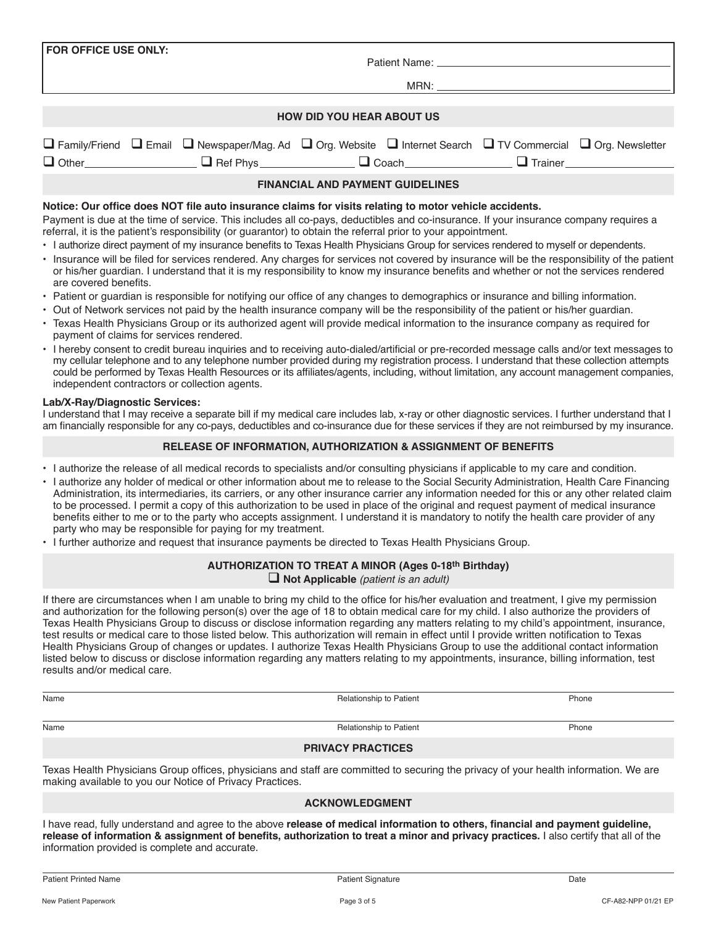|                                                | <b>ACKNOWLEDGMENT</b>                                                                                                                                                                                                                                                    |
|------------------------------------------------|--------------------------------------------------------------------------------------------------------------------------------------------------------------------------------------------------------------------------------------------------------------------------|
| information provided is complete and accurate. | I have read, fully understand and agree to the above release of medical information to others, financial and payment quideline,<br>release of information & assignment of benefits, authorization to treat a minor and privacy practices. I also certify that all of the |

## MRN: **HOW DID YOU HEAR ABOUT US**

Patient Name:

|                                                                                                                                                                                                                                                       |  | $\Box$ Family/Friend $\Box$ Email $\Box$ Newspaper/Mag. Ad $\Box$ Org. Website $\Box$ Internet Search $\Box$ TV Commercial $\Box$ Org. Newsletter |  |  |  |  |
|-------------------------------------------------------------------------------------------------------------------------------------------------------------------------------------------------------------------------------------------------------|--|---------------------------------------------------------------------------------------------------------------------------------------------------|--|--|--|--|
|                                                                                                                                                                                                                                                       |  | □ Other__________________ □ Ref Phys______________ □ Coach_____________________                                                                   |  |  |  |  |
| <b>FINANCIAL AND PAYMENT GUIDELINES</b>                                                                                                                                                                                                               |  |                                                                                                                                                   |  |  |  |  |
| Notice: Our office does NOT file auto insurance claims for visits relating to motor vehicle accidents.                                                                                                                                                |  |                                                                                                                                                   |  |  |  |  |
| Payment is due at the time of service. This includes all co-pays, deductibles and co-insurance. If your insurance company requires a<br>referral, it is the patient's responsibility (or guarantor) to obtain the referral prior to your appointment. |  |                                                                                                                                                   |  |  |  |  |

- I authorize direct payment of my insurance benefits to Texas Health Physicians Group for services rendered to myself or dependents.
- Insurance will be filed for services rendered. Any charges for services not covered by insurance will be the responsibility of the patient or his/her guardian. I understand that it is my responsibility to know my insurance benefits and whether or not the services rendered are covered benefits.
- Patient or guardian is responsible for notifying our office of any changes to demographics or insurance and billing information.
- Out of Network services not paid by the health insurance company will be the responsibility of the patient or his/her guardian.
- Texas Health Physicians Group or its authorized agent will provide medical information to the insurance company as required for payment of claims for services rendered.
- I hereby consent to credit bureau inquiries and to receiving auto-dialed/artificial or pre-recorded message calls and/or text messages to my cellular telephone and to any telephone number provided during my registration process. I understand that these collection attempts could be performed by Texas Health Resources or its affiliates/agents, including, without limitation, any account management companies, independent contractors or collection agents.

#### **Lab/X-Ray/Diagnostic Services:**

**FOR OFFICE USE ONLY:**

I understand that I may receive a separate bill if my medical care includes lab, x-ray or other diagnostic services. I further understand that I am financially responsible for any co-pays, deductibles and co-insurance due for these services if they are not reimbursed by my insurance.

#### **RELEASE OF INFORMATION, AUTHORIZATION & ASSIGNMENT OF BENEFITS**

- I authorize the release of all medical records to specialists and/or consulting physicians if applicable to my care and condition.
- I authorize any holder of medical or other information about me to release to the Social Security Administration, Health Care Financing Administration, its intermediaries, its carriers, or any other insurance carrier any information needed for this or any other related claim to be processed. I permit a copy of this authorization to be used in place of the original and request payment of medical insurance benefits either to me or to the party who accepts assignment. I understand it is mandatory to notify the health care provider of any party who may be responsible for paying for my treatment.
- I further authorize and request that insurance payments be directed to Texas Health Physicians Group.

#### **AUTHORIZATION TO TREAT A MINOR (Ages 0-18th Birthday) Not Applicable** *(patient is an adult)*

If there are circumstances when I am unable to bring my child to the office for his/her evaluation and treatment, I give my permission and authorization for the following person(s) over the age of 18 to obtain medical care for my child. I also authorize the providers of Texas Health Physicians Group to discuss or disclose information regarding any matters relating to my child's appointment, insurance, test results or medical care to those listed below. This authorization will remain in effect until I provide written notification to Texas Health Physicians Group of changes or updates. I authorize Texas Health Physicians Group to use the additional contact information listed below to discuss or disclose information regarding any matters relating to my appointments, insurance, billing information, test results and/or medical care.

Name **Name** Relationship to Patient **Phone** Phone **Phone** Phone

#### **PRIVACY PRACTICES**

Name **Name** Relationship to Patient **Relationship to Patient** Phone Phone Phone

Texas Health Physicians Group offices, physicians and staff are committed to securing the privacy of your health information. We are making available to you our Notice of Privacy Practices.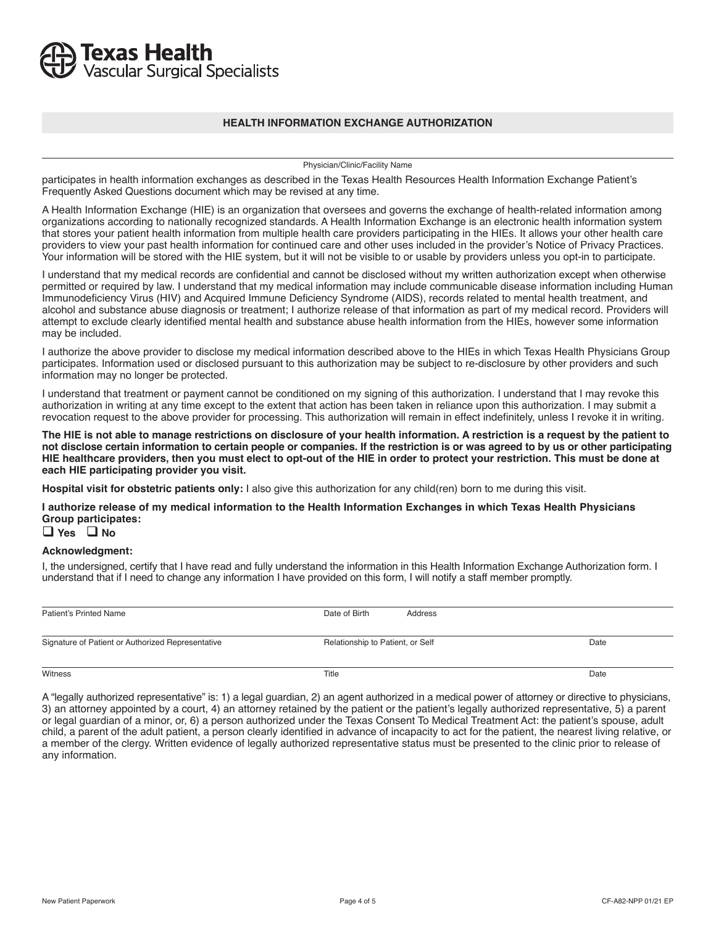## **Texas Health**<br>Vascular Surgical Specialists

#### **HEALTH INFORMATION EXCHANGE AUTHORIZATION**

Physician/Clinic/Facility Name

participates in health information exchanges as described in the Texas Health Resources Health Information Exchange Patient's Frequently Asked Questions document which may be revised at any time.

A Health Information Exchange (HIE) is an organization that oversees and governs the exchange of health-related information among organizations according to nationally recognized standards. A Health Information Exchange is an electronic health information system that stores your patient health information from multiple health care providers participating in the HIEs. It allows your other health care providers to view your past health information for continued care and other uses included in the provider's Notice of Privacy Practices. Your information will be stored with the HIE system, but it will not be visible to or usable by providers unless you opt-in to participate.

I understand that my medical records are confidential and cannot be disclosed without my written authorization except when otherwise permitted or required by law. I understand that my medical information may include communicable disease information including Human Immunodeficiency Virus (HIV) and Acquired Immune Deficiency Syndrome (AIDS), records related to mental health treatment, and alcohol and substance abuse diagnosis or treatment; I authorize release of that information as part of my medical record. Providers will attempt to exclude clearly identified mental health and substance abuse health information from the HIEs, however some information may be included.

I authorize the above provider to disclose my medical information described above to the HIEs in which Texas Health Physicians Group participates. Information used or disclosed pursuant to this authorization may be subject to re-disclosure by other providers and such information may no longer be protected.

I understand that treatment or payment cannot be conditioned on my signing of this authorization. I understand that I may revoke this authorization in writing at any time except to the extent that action has been taken in reliance upon this authorization. I may submit a revocation request to the above provider for processing. This authorization will remain in effect indefinitely, unless I revoke it in writing.

**The HIE is not able to manage restrictions on disclosure of your health information. A restriction is a request by the patient to not disclose certain information to certain people or companies. If the restriction is or was agreed to by us or other participating HIE healthcare providers, then you must elect to opt-out of the HIE in order to protect your restriction. This must be done at each HIE participating provider you visit.**

**Hospital visit for obstetric patients only:** I also give this authorization for any child(ren) born to me during this visit.

**I authorize release of my medical information to the Health Information Exchanges in which Texas Health Physicians Group participates:**

**Yes No** 

#### **Acknowledgment:**

I, the undersigned, certify that I have read and fully understand the information in this Health Information Exchange Authorization form. I understand that if I need to change any information I have provided on this form, I will notify a staff member promptly.

| Patient's Printed Name                            | Date of Birth                    | Address |      |
|---------------------------------------------------|----------------------------------|---------|------|
| Signature of Patient or Authorized Representative | Relationship to Patient, or Self |         | Date |
| Witness                                           | Title                            |         | Date |

A "legally authorized representative" is: 1) a legal guardian, 2) an agent authorized in a medical power of attorney or directive to physicians, 3) an attorney appointed by a court, 4) an attorney retained by the patient or the patient's legally authorized representative, 5) a parent or legal guardian of a minor, or, 6) a person authorized under the Texas Consent To Medical Treatment Act: the patient's spouse, adult child, a parent of the adult patient, a person clearly identified in advance of incapacity to act for the patient, the nearest living relative, or a member of the clergy. Written evidence of legally authorized representative status must be presented to the clinic prior to release of any information.